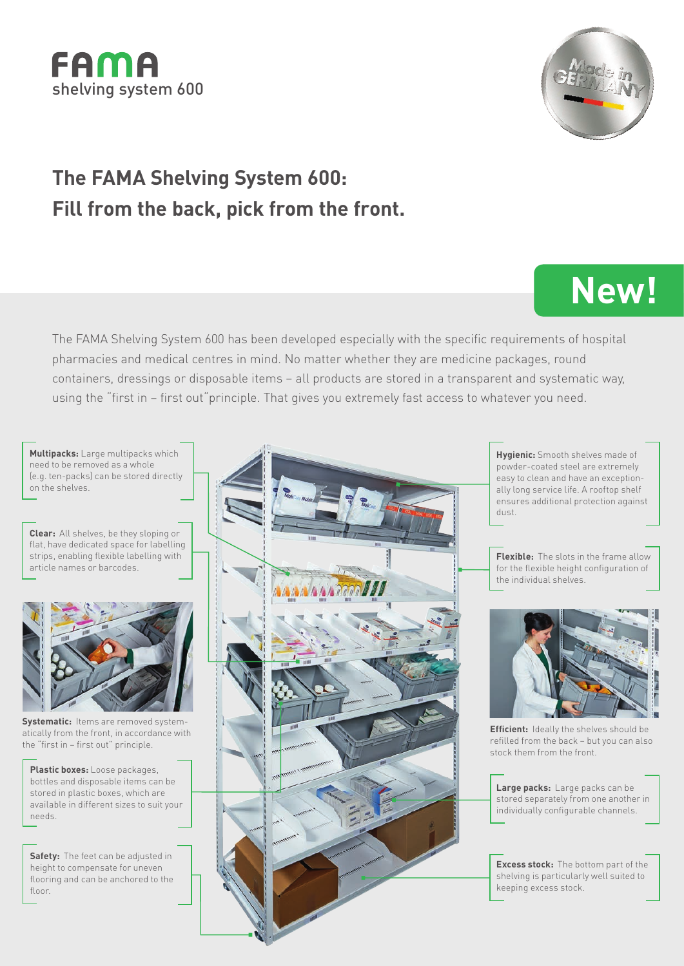



**New!**

## **The FAMA Shelving System 600: Fill from the back, pick from the front.**

The FAMA Shelving System 600 has been developed especially with the specific requirements of hospital pharmacies and medical centres in mind. No matter whether they are medicine packages, round containers, dressings or disposable items – all products are stored in a transparent and systematic way, using the "first in – first out"principle. That gives you extremely fast access to whatever you need.

**Multipacks:** Large multipacks which need to be removed as a whole (e.g. ten-packs) can be stored directly on the shelves.

**Clear:** All shelves, be they sloping or flat, have dedicated space for labelling strips, enabling flexible labelling with article names or barcodes.



**Systematic:** Items are removed systematically from the front, in accordance with the "first in – first out" principle.

**Plastic boxes:** Loose packages, bottles and disposable items can be stored in plastic boxes, which are available in different sizes to suit your needs.

**Safety:** The feet can be adjusted in height to compensate for uneven flooring and can be anchored to the floor



**Hygienic:** Smooth shelves made of powder-coated steel are extremely easy to clean and have an exceptionally long service life. A rooftop shelf ensures additional protection against dust.

**Flexible:** The slots in the frame allow for the flexible height configuration of the individual shelves.



**Efficient:** Ideally the shelves should be refilled from the back – but you can also stock them from the front.

**Large packs:** Large packs can be stored separately from one another in individually configurable channels.

**Excess stock:** The bottom part of the shelving is particularly well suited to keeping excess stock.